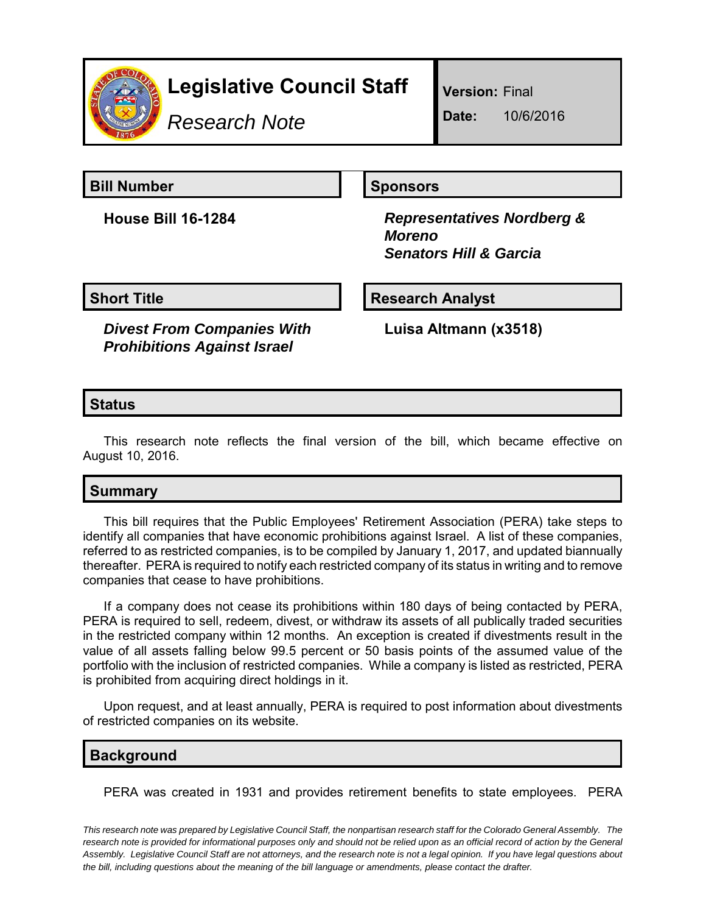

# **Legislative Council Staff**

*Research Note*

**Version:** Final

**Date:** 10/6/2016

**Bill Number Sponsors** 

**House Bill 16-1284** *Representatives Nordberg & Moreno Senators Hill & Garcia*

**Short Title**  Research Analyst

*Divest From Companies With Prohibitions Against Israel*

**Luisa Altmann (x3518)**

# **Status**

This research note reflects the final version of the bill, which became effective on August 10, 2016.

# **Summary**

This bill requires that the Public Employees' Retirement Association (PERA) take steps to identify all companies that have economic prohibitions against Israel. A list of these companies, referred to as restricted companies, is to be compiled by January 1, 2017, and updated biannually thereafter. PERA is required to notify each restricted company of its status in writing and to remove companies that cease to have prohibitions.

If a company does not cease its prohibitions within 180 days of being contacted by PERA, PERA is required to sell, redeem, divest, or withdraw its assets of all publically traded securities in the restricted company within 12 months. An exception is created if divestments result in the value of all assets falling below 99.5 percent or 50 basis points of the assumed value of the portfolio with the inclusion of restricted companies. While a company is listed as restricted, PERA is prohibited from acquiring direct holdings in it.

Upon request, and at least annually, PERA is required to post information about divestments of restricted companies on its website.

## **Background**

PERA was created in 1931 and provides retirement benefits to state employees. PERA

*This research note was prepared by Legislative Council Staff, the nonpartisan research staff for the Colorado General Assembly. The research note is provided for informational purposes only and should not be relied upon as an official record of action by the General Assembly. Legislative Council Staff are not attorneys, and the research note is not a legal opinion. If you have legal questions about the bill, including questions about the meaning of the bill language or amendments, please contact the drafter.*